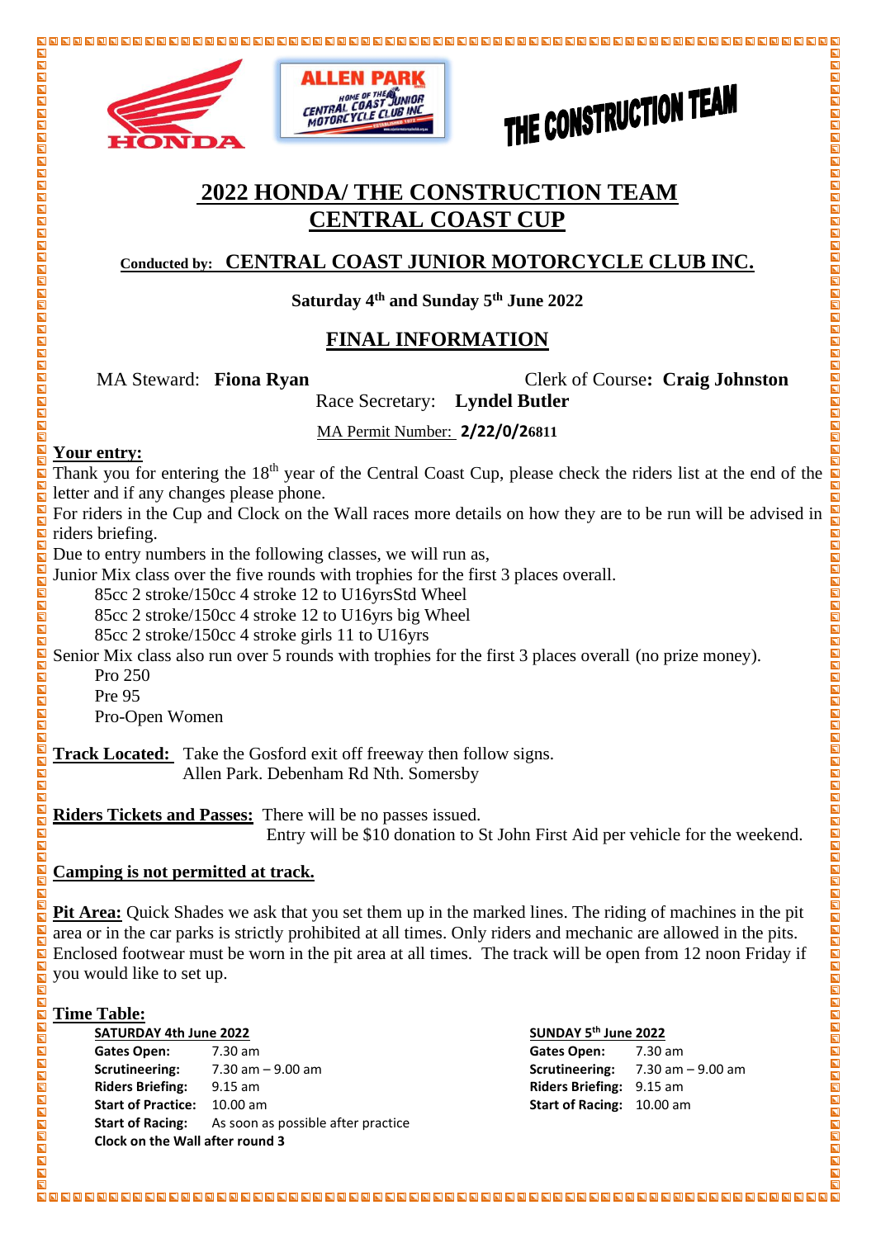





# THE CONSTRUCTION TEAM

 $\overline{\blacksquare}$ 

**NAGAR** 

同

# **2022 HONDA/ THE CONSTRUCTION TEAM CENTRAL COAST CUP**

### **Conducted by: CENTRAL COAST JUNIOR MOTORCYCLE CLUB INC.**

**Saturday 4th and Sunday 5th June 2022**

### **FINAL INFORMATION**

MA Steward: **Fiona Ryan** Clerk of Course**: Craig Johnston**

Race Secretary: **Lyndel Butler**

MA Permit Number: **2/22/0/26811**

### **Your entry:**

00000000000000000000000000000

 $\frac{\blacksquare}{\blacksquare}$  $\blacksquare$ 

 $\Box$ 

 $\blacksquare$ ODD

同  $\blacksquare$  $\overline{\blacksquare}$ 

**NDDD** 

 $\blacksquare$  $\blacksquare$  $\overline{\blacksquare}$ 

200

 $\overline{\mathbf{B}}$  $\blacksquare$  $\overline{\mathbf{N}}$  $\overline{\mathbf{z}}$ 同  $\overline{\mathbf{N}}$ 

 $\blacksquare$ 

 $\overline{\mathbf{z}}$ 

**N A A A A A A A A** 

同

 $\overline{\blacksquare}$  $\mathbf{E}$ 

Thank you for entering the 18<sup>th</sup> year of the Central Coast Cup, please check the riders list at the end of the letter and if any changes please phone.

For riders in the Cup and Clock on the Wall races more details on how they are to be run will be advised in riders briefing.

Due to entry numbers in the following classes, we will run as,

Junior Mix class over the five rounds with trophies for the first 3 places overall.

85cc 2 stroke/150cc 4 stroke 12 to U16yrsStd Wheel

85cc 2 stroke/150cc 4 stroke 12 to U16yrs big Wheel

85cc 2 stroke/150cc 4 stroke girls 11 to U16yrs

Senior Mix class also run over 5 rounds with trophies for the first 3 places overall (no prize money).

Pro 250

Pre 95

Pro-Open Women

**Track Located:** Take the Gosford exit off freeway then follow signs. Allen Park. Debenham Rd Nth. Somersby

**Riders Tickets and Passes:** There will be no passes issued.

Entry will be \$10 donation to St John First Aid per vehicle for the weekend.

### **Camping is not permitted at track.**

**Pit Area:** Quick Shades we ask that you set them up in the marked lines. The riding of machines in the pit area or in the car parks is strictly prohibited at all times. Only riders and mechanic are allowed in the pits. Enclosed footwear must be worn in the pit area at all times. The track will be open from 12 noon Friday if you would like to set up.

### **Time Table:**

**SATURDAY 4th June 2022 Gates Open:** 7.30 am **Gates Open:** 7.30 am **Scrutineering:** 7.30 am – 9.00 am **Scrutineering:** 7.30 am – 9.00 am **Riders Briefing:** 9.15 am **Riders Briefing:** 9.15 am **Start of Practice:** 10.00 am **Start of Racing:** 10.00 am **Start of Racing:** As soon as possible after practice **Clock on the Wall after round 3**

### **th June 2022**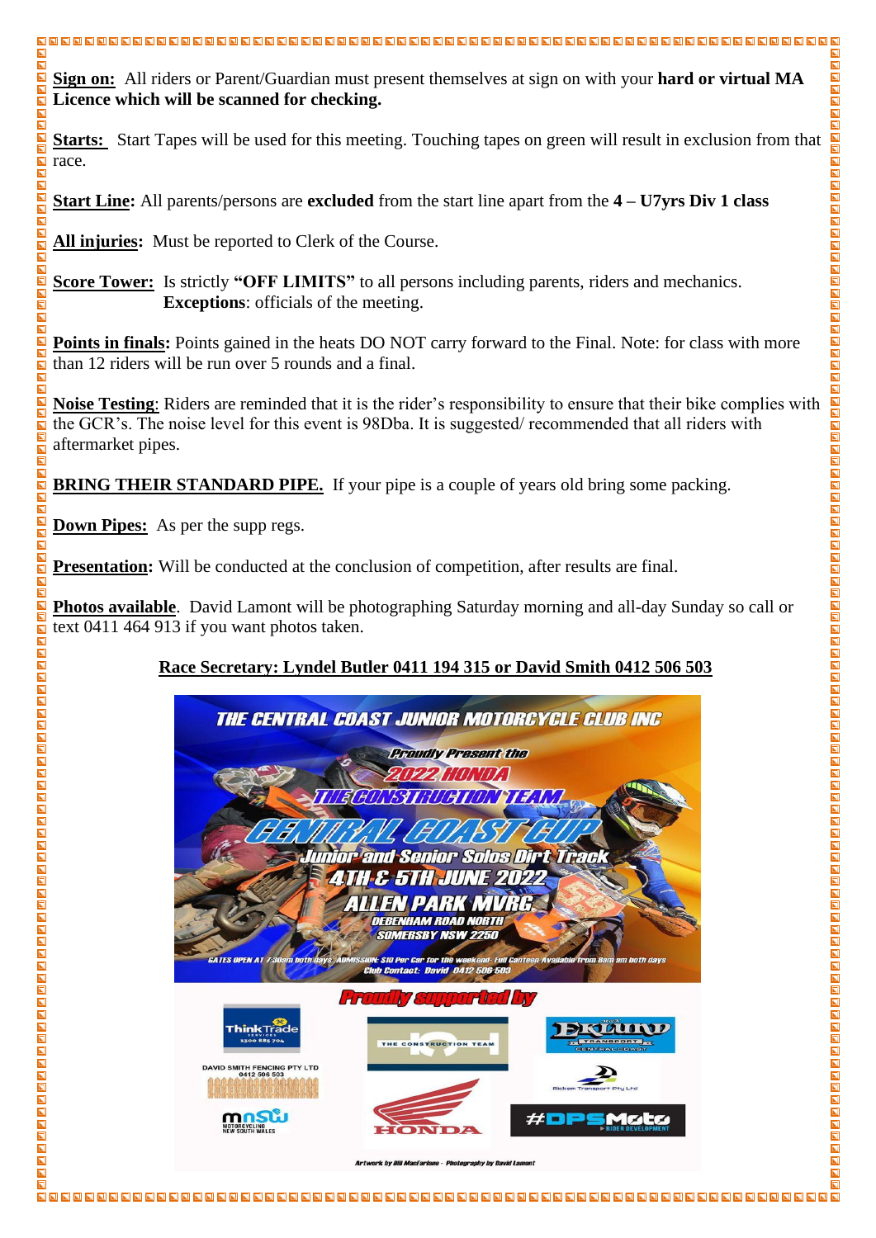**Sign on:** All riders or Parent/Guardian must present themselves at sign on with your **hard or virtual MA Licence which will be scanned for checking.**

**Starts:** Start Tapes will be used for this meeting. Touching tapes on green will result in exclusion from that race.

**Start Line:** All parents/persons are **excluded** from the start line apart from the **4 – U7yrs Div 1 class**

**All injuries:** Must be reported to Clerk of the Course.

**Score Tower:** Is strictly **"OFF LIMITS"** to all persons including parents, riders and mechanics. **Exceptions**: officials of the meeting.

**Points in finals:** Points gained in the heats DO NOT carry forward to the Final. Note: for class with more than 12 riders will be run over 5 rounds and a final.

**Noise Testing**: Riders are reminded that it is the rider's responsibility to ensure that their bike complies with the GCR's. The noise level for this event is 98Dba. It is suggested/ recommended that all riders with aftermarket pipes.

**BRING THEIR STANDARD PIPE.** If your pipe is a couple of years old bring some packing.

**Down Pipes:** As per the supp regs.

 $\overline{\mathbf{N}}$  $\blacksquare$ 

 $\overline{\mathbf{N}}$ 同

同 同

 $\blacksquare$ 

 $\blacksquare$ 

 $\overline{\blacksquare}$  $\overline{\blacksquare}$  $\blacksquare$ 

ODD 同 同  $\overline{\blacksquare}$  $\bar{\mathbf{h}}$  $\overline{\blacksquare}$  $\overline{\blacksquare}$ 

 $\overline{\blacksquare}$ 同  $\blacksquare$  $\overline{\mathbf{N}}$  $\overline{\mathbf{N}}$  $\overline{\mathbf{N}}$ 

 $\blacksquare$  $\overline{\mathbf{N}}$  $\overline{\phantom{a}}$ 

 $\overline{\mathbf{N}}$  $\overline{\mathbf{N}}$ 同  $\blacksquare$  $\overline{\blacksquare}$  $\overline{\mathbf{N}}$ 

 $\blacksquare$  $\overline{\mathbf{N}}$  $\overline{\mathbf{E}}$  $\overline{\blacksquare}$ 

同

同

 $\overline{\blacksquare}$ 

**Presentation:** Will be conducted at the conclusion of competition, after results are final.

**Photos available**. David Lamont will be photographing Saturday morning and all-day Sunday so call or text 0411 464 913 if you want photos taken.

## **Race Secretary: Lyndel Butler 0411 194 315 or David Smith 0412 506 503**

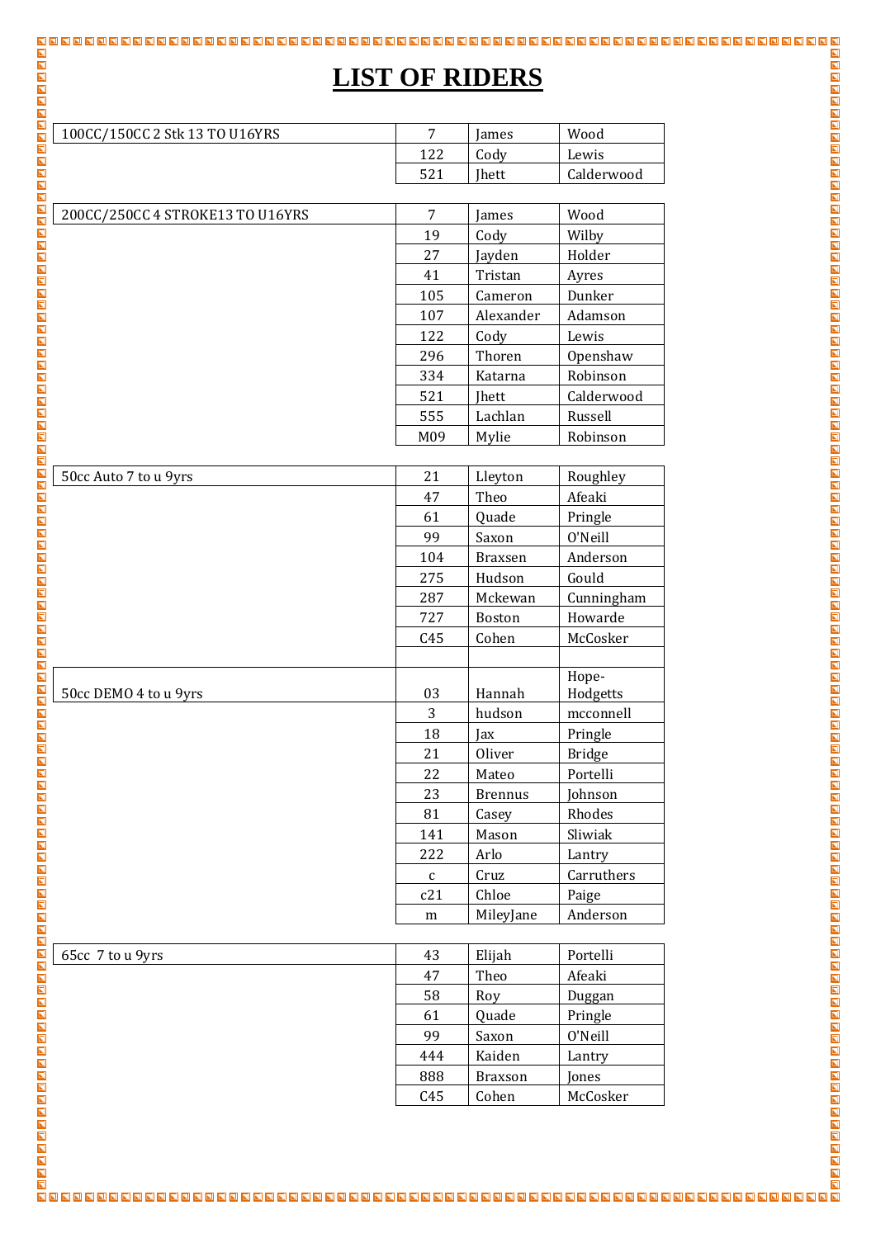# **LIST OF RIDERS**

| 100CC/150CC 2 Stk 13 TO U16YRS   | 7            | James          | Wood              |
|----------------------------------|--------------|----------------|-------------------|
|                                  | 122          | Cody           | Lewis             |
|                                  | 521          | Jhett          | Calderwood        |
|                                  |              |                |                   |
| 200CC/250CC 4 STROKE13 TO U16YRS | 7            | James          | Wood              |
|                                  | 19           | Cody           | Wilby             |
|                                  | 27           | Jayden         | Holder            |
|                                  | 41           | Tristan        | Ayres             |
|                                  | 105          | Cameron        | Dunker            |
|                                  | 107          | Alexander      | Adamson           |
|                                  | 122          | Cody           | Lewis             |
|                                  | 296          | Thoren         | Openshaw          |
|                                  | 334          | Katarna        | Robinson          |
|                                  | 521          | Jhett          | Calderwood        |
|                                  | 555          | Lachlan        | Russell           |
|                                  | M09          | Mylie          | Robinson          |
|                                  |              |                |                   |
| 50cc Auto 7 to u 9yrs            | 21           | Lleyton        | Roughley          |
|                                  | 47           | Theo           | Afeaki            |
|                                  | 61           | Quade          | Pringle           |
|                                  | 99           | Saxon          | 0'Neill           |
|                                  | 104          | <b>Braxsen</b> | Anderson          |
|                                  | 275          | Hudson         | Gould             |
|                                  | 287          | Mckewan        | Cunningham        |
|                                  | 727          | Boston         | Howarde           |
|                                  | C45          | Cohen          | McCosker          |
|                                  |              |                |                   |
| 50cc DEMO 4 to u 9yrs            | 03           | Hannah         | Hope-<br>Hodgetts |
|                                  | 3            | hudson         | mcconnell         |
|                                  | 18           | Jax            | Pringle           |
|                                  | 21           | Oliver         | <b>Bridge</b>     |
|                                  | 22           | Mateo          | Portelli          |
|                                  | 23           | <b>Brennus</b> | Johnson           |
|                                  | 81           | Casey          | Rhodes            |
|                                  | 141          | Mason          | Sliwiak           |
|                                  | 222          | Arlo           | Lantry            |
|                                  | $\mathsf{C}$ | Cruz           | Carruthers        |
|                                  | c21          | Chloe          | Paige             |
|                                  | m            | MileyJane      | Anderson          |
|                                  |              |                |                   |
| 65cc 7 to u 9yrs                 | 43           | Elijah         | Portelli          |
|                                  | 47           | Theo           | Afeaki            |
|                                  | 58           | Roy            | Duggan            |
|                                  | 61           | Quade          | Pringle           |

 Saxon O'Neill Kaiden Lantry Braxson Jones C45 Cohen | McCosker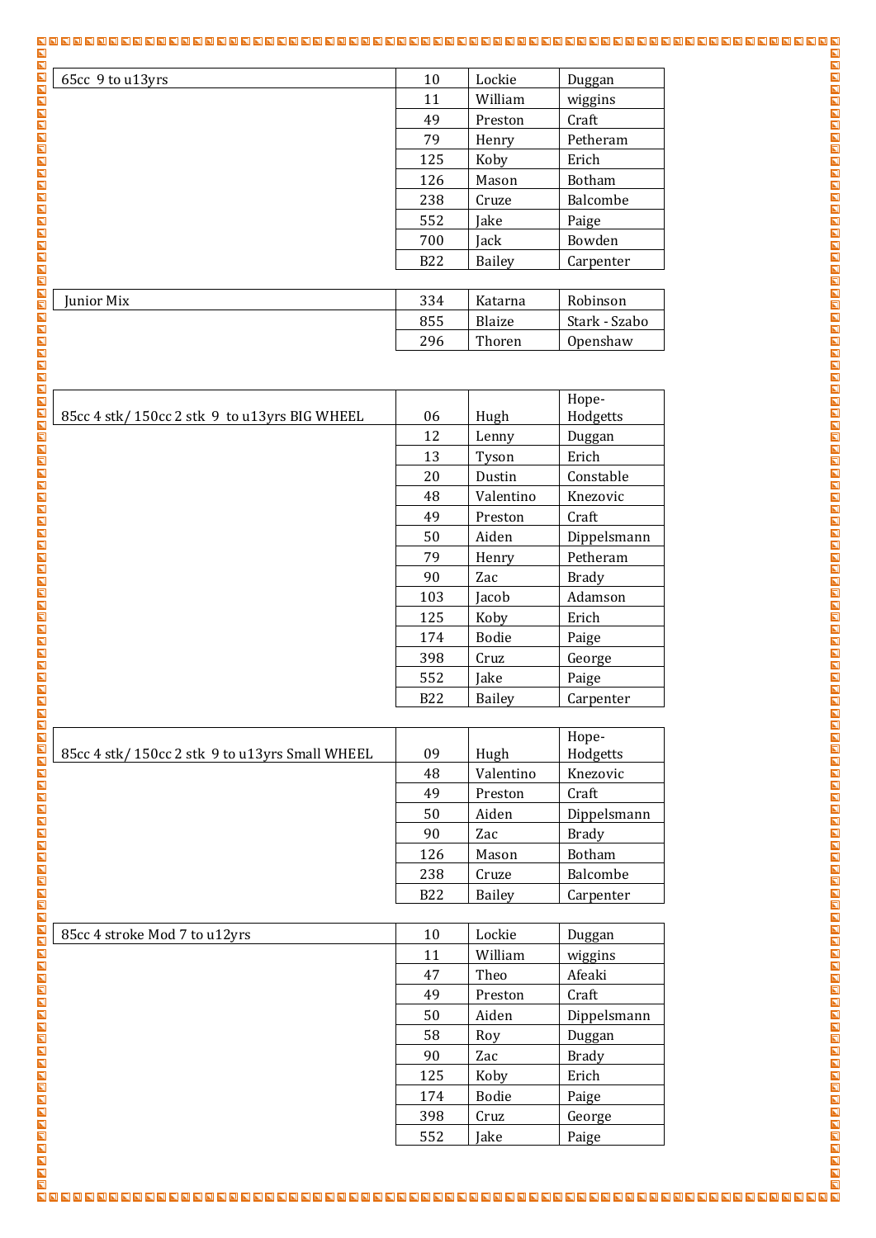# 

| 65cc 9 to u13yrs | 10         | Lockie  | Duggan        |
|------------------|------------|---------|---------------|
|                  | 11         | William | wiggins       |
|                  | 49         | Preston | Craft         |
|                  | 79         | Henry   | Petheram      |
|                  | 125        | Koby    | Erich         |
|                  | 126        | Mason   | <b>Botham</b> |
|                  | 238        | Cruze   | Balcombe      |
|                  | 552        | Jake    | Paige         |
|                  | 700        | Jack    | Bowden        |
|                  | <b>B22</b> | Bailey  | Carpenter     |

| <b>Iunior Mix</b> | 334 | Katarna | Robinson      |
|-------------------|-----|---------|---------------|
|                   | 855 | Blaize  | Stark - Szabo |
|                   | 296 | Thoren  | Openshaw      |

| 85cc 4 stk/150cc 2 stk 9 to u13yrs BIG WHEEL | 06              | Hugh          | Hope-<br>Hodgetts |
|----------------------------------------------|-----------------|---------------|-------------------|
|                                              | 12              | Lenny         | Duggan            |
|                                              | 13              | Tyson         | Erich             |
|                                              | 20              | Dustin        | Constable         |
|                                              | 48              | Valentino     | Knezovic          |
|                                              | 49              | Preston       | Craft             |
|                                              | 50              | Aiden         | Dippelsmann       |
|                                              | 79              | Henry         | Petheram          |
|                                              | 90              | Zac           | <b>Brady</b>      |
|                                              | 103             | Jacob         | Adamson           |
|                                              | 125             | Koby          | Erich             |
|                                              | 174             | <b>Bodie</b>  | Paige             |
|                                              | 398             | Cruz          | George            |
|                                              | 552             | Jake          | Paige             |
|                                              | R <sub>22</sub> | <b>Bailey</b> | Carnenter         |

| 85cc 4 stk/150cc 2 stk 9 to u13yrs Small WHEEL | 09         | Hugh          | Hope-<br>Hodgetts |
|------------------------------------------------|------------|---------------|-------------------|
|                                                | 48         | Valentino     | Knezovic          |
|                                                | 49         | Preston       | Craft             |
|                                                | 50         | Aiden         | Dippelsmann       |
|                                                | 90         | Zac           | <b>Brady</b>      |
|                                                | 126        | Mason         | <b>Botham</b>     |
|                                                | 238        | Cruze         | Balcombe          |
|                                                | <b>B22</b> | <b>Bailey</b> | Carpenter         |
|                                                |            |               |                   |

| 85cc 4 stroke Mod 7 to u12yrs | 10  | Lockie       | Duggan      |
|-------------------------------|-----|--------------|-------------|
|                               | 11  | William      | wiggins     |
|                               | 47  | Theo         | Afeaki      |
|                               | 49  | Preston      | Craft       |
|                               | 50  | Aiden        | Dippelsmann |
|                               | 58  | Roy          | Duggan      |
|                               | 90  | Zac          | Brady       |
|                               | 125 | Koby         | Erich       |
|                               | 174 | <b>Bodie</b> | Paige       |
|                               | 398 | Cruz         | George      |
|                               | 552 | Iake         | Paige       |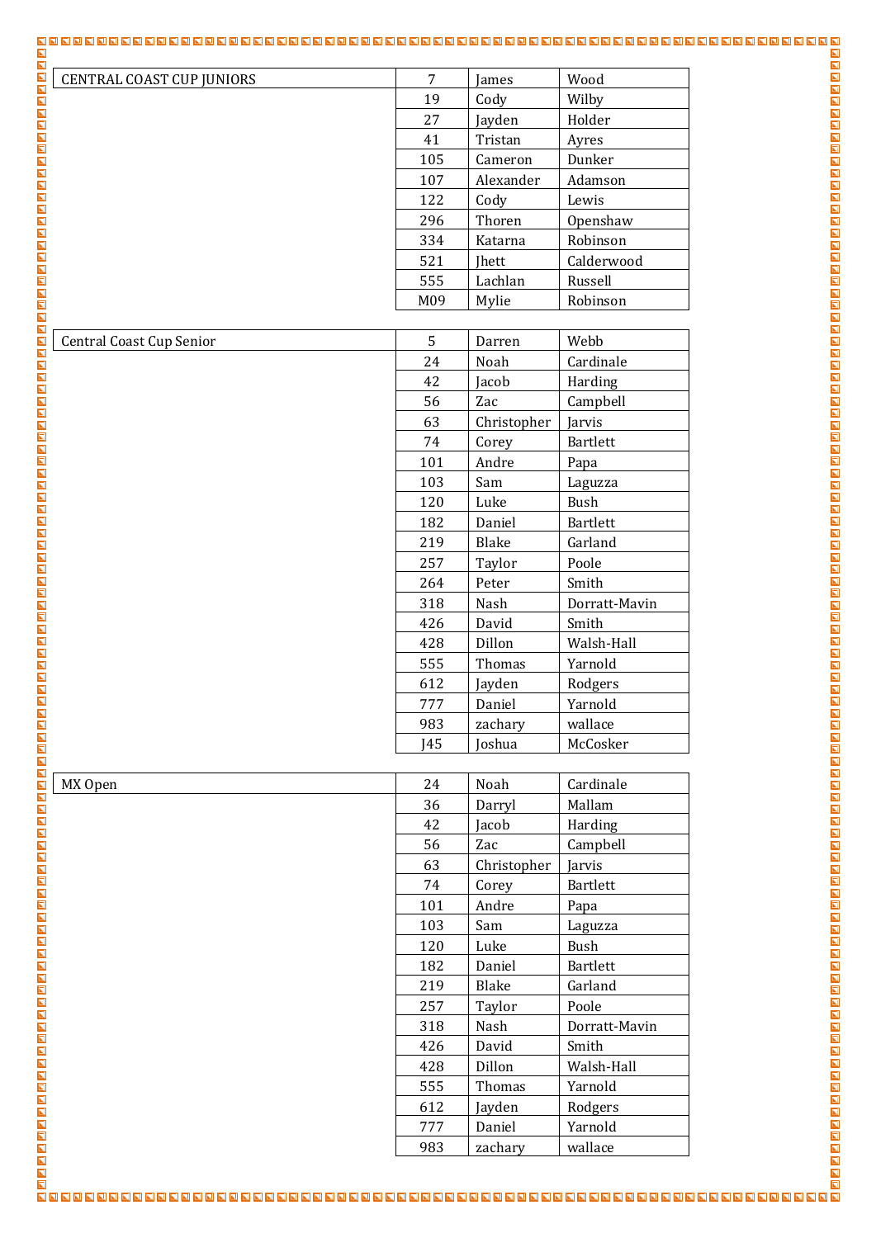| <b>CENTRAL COAST CUP JUNIORS</b>                                                                                                                                                                                                                                                                                                                                                                        | $\overline{7}$ | James       | Wood            |  |
|---------------------------------------------------------------------------------------------------------------------------------------------------------------------------------------------------------------------------------------------------------------------------------------------------------------------------------------------------------------------------------------------------------|----------------|-------------|-----------------|--|
|                                                                                                                                                                                                                                                                                                                                                                                                         | 19             | Cody        | Wilby           |  |
|                                                                                                                                                                                                                                                                                                                                                                                                         | 27             | Jayden      | Holder          |  |
|                                                                                                                                                                                                                                                                                                                                                                                                         | 41             | Tristan     | Ayres           |  |
|                                                                                                                                                                                                                                                                                                                                                                                                         | 105            | Cameron     | Dunker          |  |
|                                                                                                                                                                                                                                                                                                                                                                                                         | 107            | Alexander   | Adamson         |  |
|                                                                                                                                                                                                                                                                                                                                                                                                         | 122            | Cody        | Lewis           |  |
|                                                                                                                                                                                                                                                                                                                                                                                                         | 296            | Thoren      | Openshaw        |  |
|                                                                                                                                                                                                                                                                                                                                                                                                         | 334            | Katarna     | Robinson        |  |
|                                                                                                                                                                                                                                                                                                                                                                                                         | 521            | Jhett       | Calderwood      |  |
|                                                                                                                                                                                                                                                                                                                                                                                                         | 555            | Lachlan     | Russell         |  |
|                                                                                                                                                                                                                                                                                                                                                                                                         | M09            | Mylie       | Robinson        |  |
| <b>Central Coast Cup Senior</b>                                                                                                                                                                                                                                                                                                                                                                         | 5              | Darren      | Webb            |  |
|                                                                                                                                                                                                                                                                                                                                                                                                         | 24             | Noah        | Cardinale       |  |
|                                                                                                                                                                                                                                                                                                                                                                                                         | 42             | Jacob       | Harding         |  |
|                                                                                                                                                                                                                                                                                                                                                                                                         | 56             | Zac         | Campbell        |  |
|                                                                                                                                                                                                                                                                                                                                                                                                         | 63             | Christopher | Jarvis          |  |
|                                                                                                                                                                                                                                                                                                                                                                                                         | 74             | Corey       | Bartlett        |  |
|                                                                                                                                                                                                                                                                                                                                                                                                         | 101            | Andre       | Papa            |  |
|                                                                                                                                                                                                                                                                                                                                                                                                         | 103            | Sam         | Laguzza         |  |
|                                                                                                                                                                                                                                                                                                                                                                                                         | 120            | Luke        | Bush            |  |
|                                                                                                                                                                                                                                                                                                                                                                                                         | 182            | Daniel      | <b>Bartlett</b> |  |
|                                                                                                                                                                                                                                                                                                                                                                                                         | 219            | Blake       | Garland         |  |
|                                                                                                                                                                                                                                                                                                                                                                                                         | 257            | Taylor      | Poole           |  |
|                                                                                                                                                                                                                                                                                                                                                                                                         | 264            | Peter       | Smith           |  |
|                                                                                                                                                                                                                                                                                                                                                                                                         | 318            | Nash        | Dorratt-Mavin   |  |
|                                                                                                                                                                                                                                                                                                                                                                                                         | 426            | David       | Smith           |  |
|                                                                                                                                                                                                                                                                                                                                                                                                         | 428            | Dillon      | Walsh-Hall      |  |
|                                                                                                                                                                                                                                                                                                                                                                                                         |                |             |                 |  |
|                                                                                                                                                                                                                                                                                                                                                                                                         |                |             |                 |  |
|                                                                                                                                                                                                                                                                                                                                                                                                         |                |             |                 |  |
|                                                                                                                                                                                                                                                                                                                                                                                                         |                |             |                 |  |
|                                                                                                                                                                                                                                                                                                                                                                                                         |                |             |                 |  |
|                                                                                                                                                                                                                                                                                                                                                                                                         |                |             |                 |  |
|                                                                                                                                                                                                                                                                                                                                                                                                         |                |             |                 |  |
|                                                                                                                                                                                                                                                                                                                                                                                                         |                |             |                 |  |
|                                                                                                                                                                                                                                                                                                                                                                                                         |                |             |                 |  |
|                                                                                                                                                                                                                                                                                                                                                                                                         |                |             |                 |  |
|                                                                                                                                                                                                                                                                                                                                                                                                         |                |             |                 |  |
|                                                                                                                                                                                                                                                                                                                                                                                                         |                |             |                 |  |
|                                                                                                                                                                                                                                                                                                                                                                                                         |                |             |                 |  |
|                                                                                                                                                                                                                                                                                                                                                                                                         |                |             |                 |  |
|                                                                                                                                                                                                                                                                                                                                                                                                         |                |             |                 |  |
|                                                                                                                                                                                                                                                                                                                                                                                                         |                |             |                 |  |
|                                                                                                                                                                                                                                                                                                                                                                                                         |                |             |                 |  |
|                                                                                                                                                                                                                                                                                                                                                                                                         |                |             |                 |  |
|                                                                                                                                                                                                                                                                                                                                                                                                         |                |             |                 |  |
|                                                                                                                                                                                                                                                                                                                                                                                                         |                |             |                 |  |
|                                                                                                                                                                                                                                                                                                                                                                                                         |                |             |                 |  |
|                                                                                                                                                                                                                                                                                                                                                                                                         |                |             |                 |  |
|                                                                                                                                                                                                                                                                                                                                                                                                         |                |             |                 |  |
| $\begin{tabular}{c c c c} \hline \textbf{18.8} & \textbf{0.8} & \textbf{0.8} \\ \hline \textbf{2.8} & \textbf{0.8} & \textbf{0.8} \\ \hline \textbf{3.8} & \textbf{0.8} & \textbf{0.8} \\ \hline \textbf{5.8} & \textbf{0.8} & \textbf{0.8} \\ \hline \textbf{5.9} & \textbf{0.8} & \textbf{0.8} \\ \hline \textbf{6.9} & \textbf{0.8} & \textbf{0.8} \\ \hline \textbf{6.9} & \textbf{0.8} & \textbf{$ |                |             |                 |  |